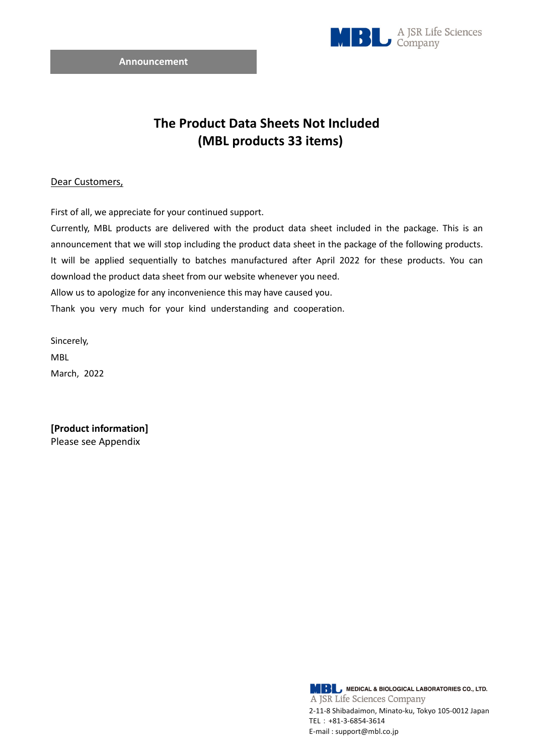

## **The Product Data Sheets Not Included (MBL products 33 items)**

## Dear Customers,

First of all, we appreciate for your continued support.

Currently, MBL products are delivered with the product data sheet included in the package. This is an announcement that we will stop including the product data sheet in the package of the following products. It will be applied sequentially to batches manufactured after April 2022 for these products. You can download the product data sheet from our website whenever you need. Allow us to apologize for any inconvenience this may have caused you.

Thank you very much for your kind understanding and cooperation.

Sincerely, MBL March, 2022

**[Product information]**  Please see Appendix

> **MBL** MEDICAL & BIOLOGICAL LABORATORIES CO., LTD. A JSR Life Sciences Company 2-11-8 Shibadaimon, Minato-ku, Tokyo 105-0012 Japan TEL:+81-3-6854-3614 E-mail : support@mbl.co.jp